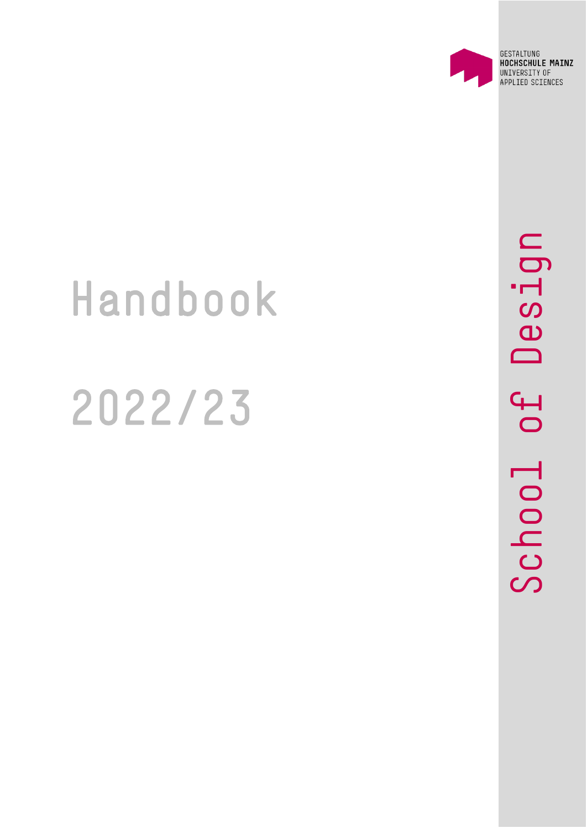

GESTALTUNG HOCHSCHULE MAINZ UNIVERSITY OF APPLIED SCIENCES

# Handbook 2022/23

Design School of Design $\overline{P}$ School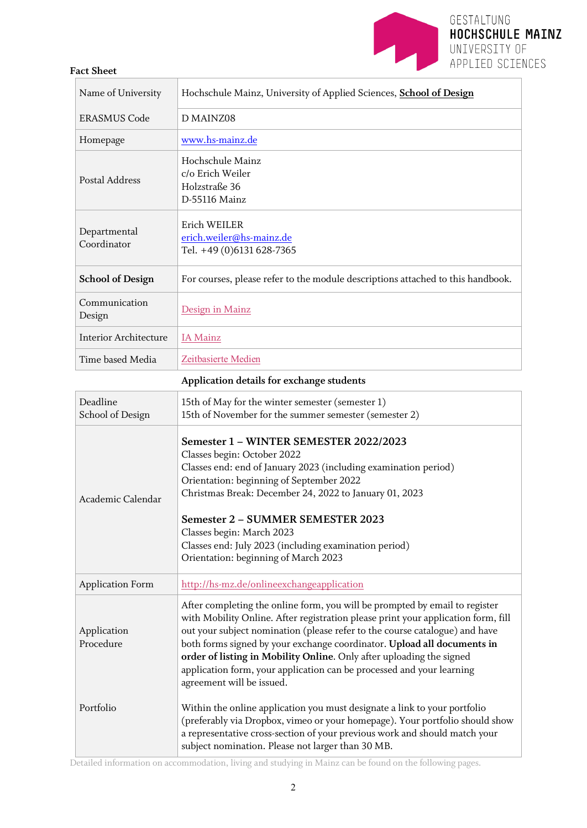

### **Fact Sheet**

| Name of University                        | Hochschule Mainz, University of Applied Sciences, School of Design                                                                                                                                                                                                                                                                                                                                                                                                                                       |  |  |
|-------------------------------------------|----------------------------------------------------------------------------------------------------------------------------------------------------------------------------------------------------------------------------------------------------------------------------------------------------------------------------------------------------------------------------------------------------------------------------------------------------------------------------------------------------------|--|--|
| <b>ERASMUS Code</b>                       | D MAINZ08                                                                                                                                                                                                                                                                                                                                                                                                                                                                                                |  |  |
| Homepage                                  | www.hs-mainz.de                                                                                                                                                                                                                                                                                                                                                                                                                                                                                          |  |  |
| <b>Postal Address</b>                     | Hochschule Mainz<br>c/o Erich Weiler<br>Holzstraße 36<br>D-55116 Mainz                                                                                                                                                                                                                                                                                                                                                                                                                                   |  |  |
| Departmental<br>Coordinator               | Erich WEILER<br>erich.weiler@hs-mainz.de<br>Tel. +49 (0)6131 628-7365                                                                                                                                                                                                                                                                                                                                                                                                                                    |  |  |
| <b>School of Design</b>                   | For courses, please refer to the module descriptions attached to this handbook.                                                                                                                                                                                                                                                                                                                                                                                                                          |  |  |
| Communication<br>Design                   | Design in Mainz                                                                                                                                                                                                                                                                                                                                                                                                                                                                                          |  |  |
| <b>Interior Architecture</b>              | <b>IA</b> Mainz                                                                                                                                                                                                                                                                                                                                                                                                                                                                                          |  |  |
| Time based Media                          | Zeitbasierte Medien                                                                                                                                                                                                                                                                                                                                                                                                                                                                                      |  |  |
| Application details for exchange students |                                                                                                                                                                                                                                                                                                                                                                                                                                                                                                          |  |  |
| Deadline<br>School of Design              | 15th of May for the winter semester (semester 1)<br>15th of November for the summer semester (semester 2)                                                                                                                                                                                                                                                                                                                                                                                                |  |  |
| Academic Calendar                         | Semester 1 - WINTER SEMESTER 2022/2023<br>Classes begin: October 2022<br>Classes end: end of January 2023 (including examination period)<br>Orientation: beginning of September 2022<br>Christmas Break: December 24, 2022 to January 01, 2023<br>Semester 2 - SUMMER SEMESTER 2023<br>Classes begin: March 2023<br>Classes end: July 2023 (including examination period)<br>Orientation: beginning of March 2023                                                                                        |  |  |
| <b>Application Form</b>                   | http://hs-mz.de/onlineexchangeapplication                                                                                                                                                                                                                                                                                                                                                                                                                                                                |  |  |
| Application<br>Procedure                  | After completing the online form, you will be prompted by email to register<br>with Mobility Online. After registration please print your application form, fill<br>out your subject nomination (please refer to the course catalogue) and have<br>both forms signed by your exchange coordinator. Upload all documents in<br>order of listing in Mobility Online. Only after uploading the signed<br>application form, your application can be processed and your learning<br>agreement will be issued. |  |  |
| Portfolio                                 | Within the online application you must designate a link to your portfolio<br>(preferably via Dropbox, vimeo or your homepage). Your portfolio should show<br>a representative cross-section of your previous work and should match your<br>subject nomination. Please not larger than 30 MB.                                                                                                                                                                                                             |  |  |

Detailed information on accommodation, living and studying in Mainz can be found on the following pages.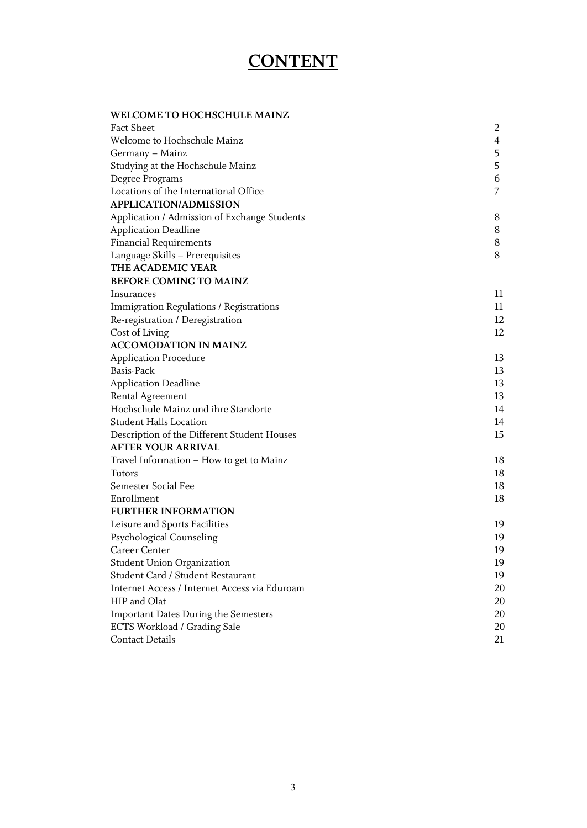# **CONTENT**

### **WELCOME TO HOCHSCHULE MAINZ**

| Fact Sheet                                    | 2  |
|-----------------------------------------------|----|
| Welcome to Hochschule Mainz                   | 4  |
| Germany - Mainz                               | 5  |
| Studying at the Hochschule Mainz              | 5  |
| Degree Programs                               | 6  |
| Locations of the International Office         | 7  |
| <b>APPLICATION/ADMISSION</b>                  |    |
| Application / Admission of Exchange Students  | 8  |
| <b>Application Deadline</b>                   | 8  |
| Financial Requirements                        | 8  |
| Language Skills - Prerequisites               | 8  |
| THE ACADEMIC YEAR                             |    |
| <b>BEFORE COMING TO MAINZ</b>                 |    |
| Insurances                                    | 11 |
| Immigration Regulations / Registrations       | 11 |
| Re-registration / Deregistration              | 12 |
| Cost of Living                                | 12 |
| <b>ACCOMODATION IN MAINZ</b>                  |    |
| <b>Application Procedure</b>                  | 13 |
| Basis-Pack                                    | 13 |
| <b>Application Deadline</b>                   | 13 |
| <b>Rental Agreement</b>                       | 13 |
| Hochschule Mainz und ihre Standorte           | 14 |
| <b>Student Halls Location</b>                 | 14 |
| Description of the Different Student Houses   | 15 |
| AFTER YOUR ARRIVAL                            |    |
| Travel Information - How to get to Mainz      | 18 |
| Tutors                                        | 18 |
| Semester Social Fee                           | 18 |
| Enrollment                                    | 18 |
| <b>FURTHER INFORMATION</b>                    |    |
| Leisure and Sports Facilities                 | 19 |
| Psychological Counseling                      | 19 |
| Career Center                                 | 19 |
| <b>Student Union Organization</b>             | 19 |
| Student Card / Student Restaurant             | 19 |
| Internet Access / Internet Access via Eduroam | 20 |
| HIP and Olat                                  | 20 |
| <b>Important Dates During the Semesters</b>   | 20 |
| <b>ECTS Workload / Grading Sale</b>           | 20 |
| <b>Contact Details</b>                        | 21 |
|                                               |    |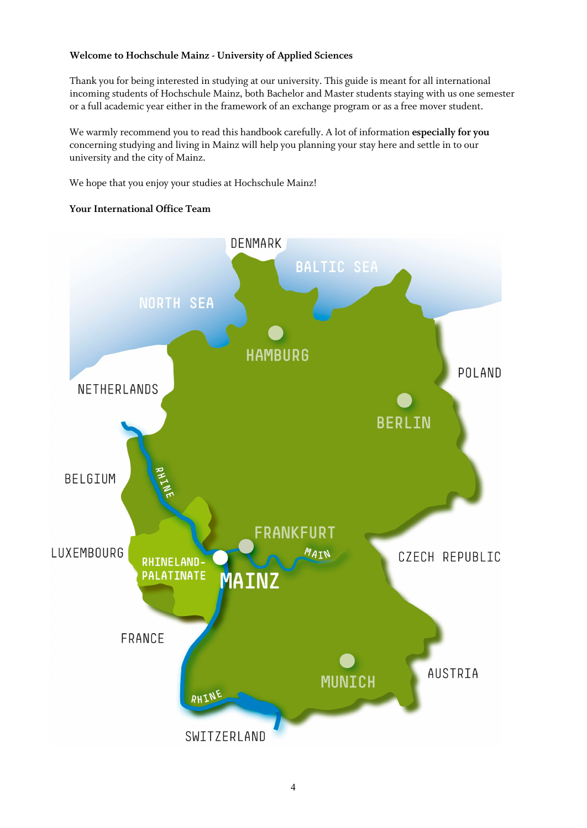### **Welcome to Hochschule Mainz - University of Applied Sciences**

Thank you for being interested in studying at our university. This guide is meant for all international incoming students of Hochschule Mainz, both Bachelor and Master students staying with us one semester or a full academic year either in the framework of an exchange program or as a free mover student.

We warmly recommend you to read this handbook carefully. A lot of information **especially for you** concerning studying and living in Mainz will help you planning your stay here and settle in to our university and the city of Mainz.

We hope that you enjoy your studies at Hochschule Mainz!

### **Your International Office Team**

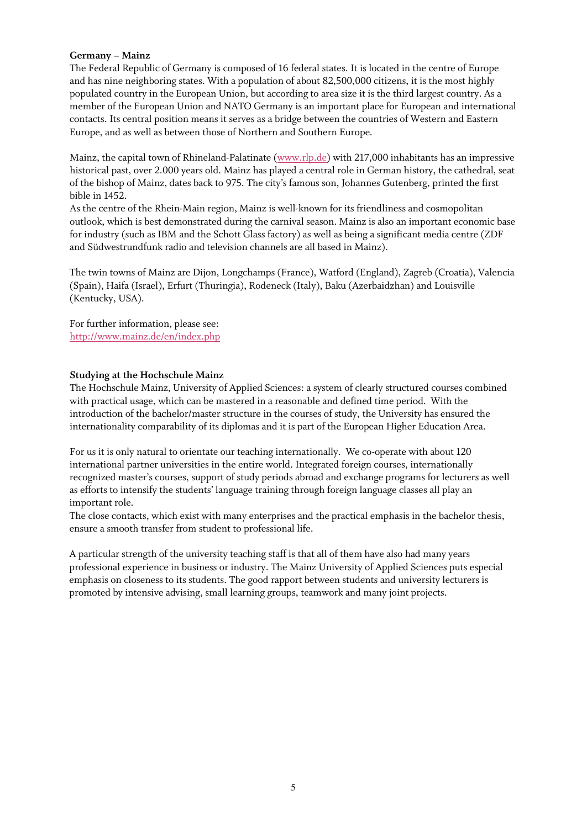### **Germany – Mainz**

The Federal Republic of Germany is composed of 16 federal states. It is located in the centre of Europe and has nine neighboring states. With a population of about 82,500,000 citizens, it is the most highly populated country in the European Union, but according to area size it is the third largest country. As a member of the European Union and NATO Germany is an important place for European and international contacts. Its central position means it serves as a bridge between the countries of Western and Eastern Europe, and as well as between those of Northern and Southern Europe.

Mainz, the capital town of Rhineland-Palatinate [\(www.rlp.de\)](http://www.rlp.de/) with 217,000 inhabitants has an impressive historical past, over 2.000 years old. Mainz has played a central role in German history, the cathedral, seat of the bishop of Mainz, dates back to 975. The city's famous son, Johannes Gutenberg, printed the first bible in 1452.

As the centre of the Rhein-Main region, Mainz is well-known for its friendliness and cosmopolitan outlook, which is best demonstrated during the carnival season. Mainz is also an important economic base for industry (such as IBM and the Schott Glass factory) as well as being a significant media centre (ZDF and Südwestrundfunk radio and television channels are all based in Mainz).

The twin towns of Mainz are Dijon, Longchamps (France), Watford (England), Zagreb (Croatia), Valencia (Spain), Haifa (Israel), Erfurt (Thuringia), Rodeneck (Italy), Baku (Azerbaidzhan) and Louisville (Kentucky, USA).

For further information, please see: <http://www.mainz.de/en/index.php>

### **Studying at the Hochschule Mainz**

The Hochschule Mainz, University of Applied Sciences: a system of clearly structured courses combined with practical usage, which can be mastered in a reasonable and defined time period. With the introduction of the bachelor/master structure in the courses of study, the University has ensured the internationality comparability of its diplomas and it is part of the European Higher Education Area.

For us it is only natural to orientate our teaching internationally. We co-operate with about 120 international partner universities in the entire world. Integrated foreign courses, internationally recognized master's courses, support of study periods abroad and exchange programs for lecturers as well as efforts to intensify the students' language training through foreign language classes all play an important role.

The close contacts, which exist with many enterprises and the practical emphasis in the bachelor thesis, ensure a smooth transfer from student to professional life.

A particular strength of the university teaching staff is that all of them have also had many years professional experience in business or industry. The Mainz University of Applied Sciences puts especial emphasis on closeness to its students. The good rapport between students and university lecturers is promoted by intensive advising, small learning groups, teamwork and many joint projects.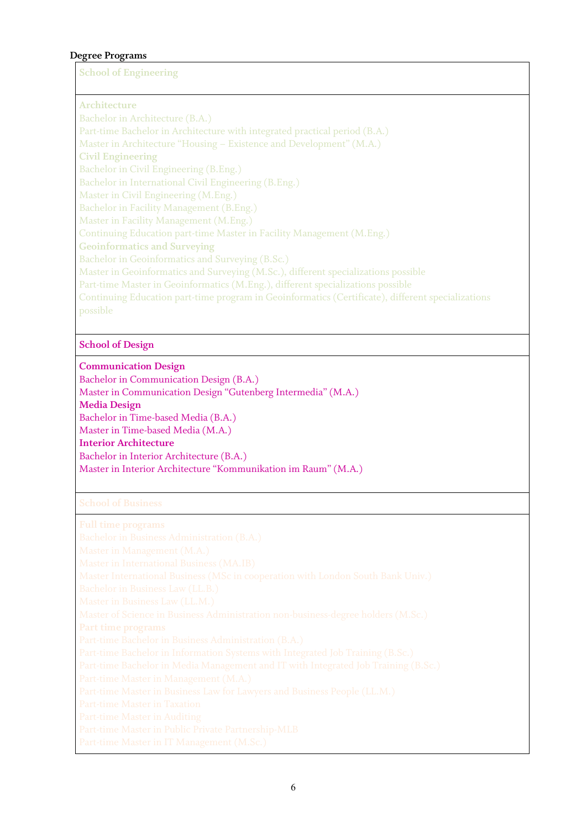### **Degree Programs**

**School of Engineering**

**Architecture** Bachelor in Architecture (B.A.) Part-time Bachelor in Architecture with integrated practical period (B.A.) Master in Architecture "Housing – Existence and Development" (M.A.) **Civil Engineering** Bachelor in Civil Engineering (B.Eng.) Bachelor in International Civil Engineering (B.Eng.) Master in Civil Engineering (M.Eng.) Bachelor in Facility Management (B.Eng.) Master in Facility Management (M.Eng.) Continuing Education part-time Master in Facility Management (M.Eng.) **Geoinformatics and Surveying** Bachelor in Geoinformatics and Surveying (B.Sc.) Master in Geoinformatics and Surveying (M.Sc.), different specializations possible Part-time Master in Geoinformatics (M.Eng.), different specializations possible Continuing Education part-time program in Geoinformatics (Certificate), different specializations

### **School of Design**

**Communication Design** Bachelor in Communication Design (B.A.) Master in Communication Design "Gutenberg Intermedia" (M.A.) **Media Design** Bachelor in Time-based Media (B.A.) Master in Time-based Media (M.A.) **Interior Architecture** Bachelor in Interior Architecture (B.A.) Master in Interior Architecture "Kommunikation im Raum" (M.A.)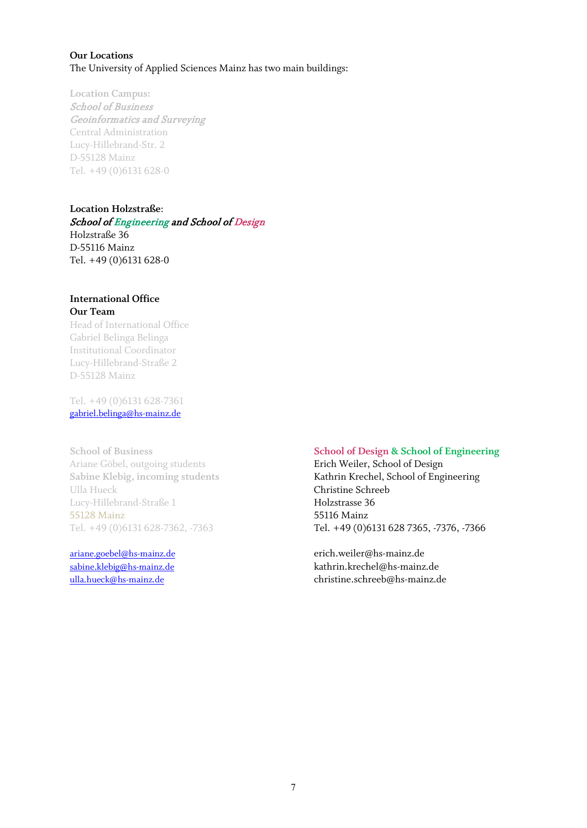### **Our Locations** The University of Applied Sciences Mainz has two main buildings:

**Location Campus:** School of Business Geoinformatics and Surveying Central Administration Lucy-Hillebrand-Str. 2 D-55128 Mainz Tel. +49 (0)6131 628-0

**Location Holzstraße**: School of Engineering and School of Design Holzstraße 36 D-55116 Mainz Tel. +49 (0)6131 628-0

### **International Office Our Team**

Head of International Office Gabriel Belinga Belinga Institutional Coordinator Lucy-Hillebrand-Straße 2 D-55128 Mainz

Tel. +49 (0)6131 628-7361 gabriel.belinga@hs-mainz.de

Ariane Göbel, outgoing students **Erich Weiler, School of Design** Ulla Hueck Christine Schreeb Lucy-Hillebrand-Straße 1 Holzstrasse 36 55128 Mainz 55116 Mainz

### **School of Business School of Design & School of Engineering**

**Sabine Klebig, incoming students** Kathrin Krechel, School of Engineering [Tel.](mailto:erich.weiler@hs-mainz.de) +49 (0)6131 628-7362, -7363 Tel. +49 (0)6131 628 7365, -7376, -7366

[ariane.goebel@hs-mainz.de](mailto:ariane.goebel@hs-mainz.de) erich.weiler@hs-mainz.de [sabine.klebig@hs-mainz.de](mailto:sabine.klebig@hs-mainz.de) kathrin.krechel@hs-mainz.de [ulla.hueck@hs-mainz.de](mailto:ulla.hueck@hs-mainz.de) christine.schreeb@hs-mainz.de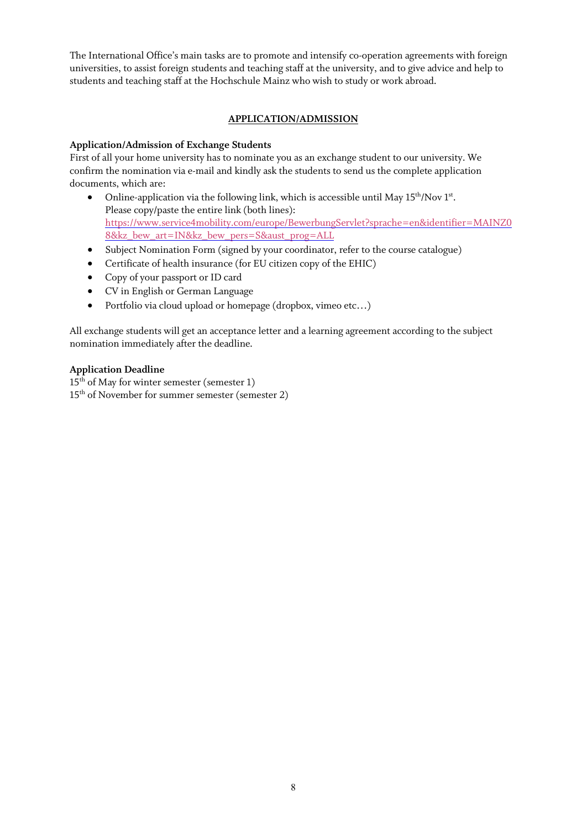The International Office's main tasks are to promote and intensify co-operation agreements with foreign universities, to assist foreign students and teaching staff at the university, and to give advice and help to students and teaching staff at the Hochschule Mainz who wish to study or work abroad.

### **APPLICATION/ADMISSION**

### **Application/Admission of Exchange Students**

First of all your home university has to nominate you as an exchange student to our university. We confirm the nomination via e-mail and kindly ask the students to send us the complete application documents, which are:

- Online-application via the following link, which is accessible until May  $15<sup>th</sup>/\text{Nov } 1<sup>st</sup>$ . Please copy/paste the entire link (both lines): [https://www.service4mobility.com/europe/BewerbungServlet?sprache=en&identifier=MAINZ0](https://www.service4mobility.com/europe/BewerbungServlet?sprache=en&identifier=MAINZ08&kz_bew_art=IN&kz_bew_pers=S&aust_prog=ALL) [8&kz\\_bew\\_art=IN&kz\\_bew\\_pers=S&aust\\_prog=ALL](https://www.service4mobility.com/europe/BewerbungServlet?sprache=en&identifier=MAINZ08&kz_bew_art=IN&kz_bew_pers=S&aust_prog=ALL)
- Subject Nomination Form (signed by your coordinator, refer to the course catalogue)
- Certificate of health insurance (for EU citizen copy of the EHIC)
- Copy of your passport or ID card
- CV in English or German Language
- Portfolio via cloud upload or homepage (dropbox, vimeo etc...)

All exchange students will get an acceptance letter and a learning agreement according to the subject nomination immediately after the deadline.

### **Application Deadline**

 $15<sup>th</sup>$  of May for winter semester (semester 1) 15th of November for summer semester (semester 2)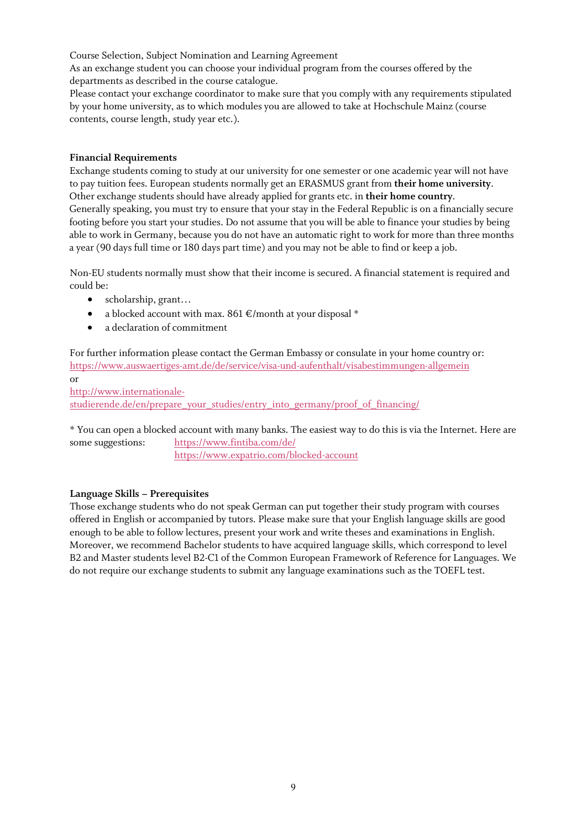Course Selection, Subject Nomination and Learning Agreement

As an exchange student you can choose your individual program from the courses offered by the departments as described in the course catalogue.

Please contact your exchange coordinator to make sure that you comply with any requirements stipulated by your home university, as to which modules you are allowed to take at Hochschule Mainz (course contents, course length, study year etc.).

### **Financial Requirements**

Exchange students coming to study at our university for one semester or one academic year will not have to pay tuition fees. European students normally get an ERASMUS grant from **their home university**. Other exchange students should have already applied for grants etc. in **their home country**. Generally speaking, you must try to ensure that your stay in the Federal Republic is on a financially secure footing before you start your studies. Do not assume that you will be able to finance your studies by being able to work in Germany, because you do not have an automatic right to work for more than three months a year (90 days full time or 180 days part time) and you may not be able to find or keep a job.

Non-EU students normally must show that their income is secured. A financial statement is required and could be:

- scholarship, grant...
- a blocked account with max.  $861 \text{ } \infty$  /month at your disposal \*
- a declaration of commitment

For further information please contact the German Embassy or consulate in your home country or: <https://www.auswaertiges-amt.de/de/service/visa-und-aufenthalt/visabestimmungen-allgemein> or [http://www.internationale](http://www.internationale-studierende.de/en/prepare_your_studies/entry_into_germany/proof_of_financing/)[studierende.de/en/prepare\\_your\\_studies/entry\\_into\\_germany/proof\\_of\\_financing/](http://www.internationale-studierende.de/en/prepare_your_studies/entry_into_germany/proof_of_financing/)

\* You can open a blocked account with many banks. The easiest way to do this is via the Internet. Here are some suggestions: <https://www.fintiba.com/de/>

<https://www.expatrio.com/blocked-account>

### **Language Skills – Prerequisites**

Those exchange students who do not speak German can put together their study program with courses offered in English or accompanied by tutors. Please make sure that your English language skills are good enough to be able to follow lectures, present your work and write theses and examinations in English. Moreover, we recommend Bachelor students to have acquired language skills, which correspond to level B2 and Master students level B2-C1 of the Common European Framework of Reference for Languages. We do not require our exchange students to submit any language examinations such as the TOEFL test.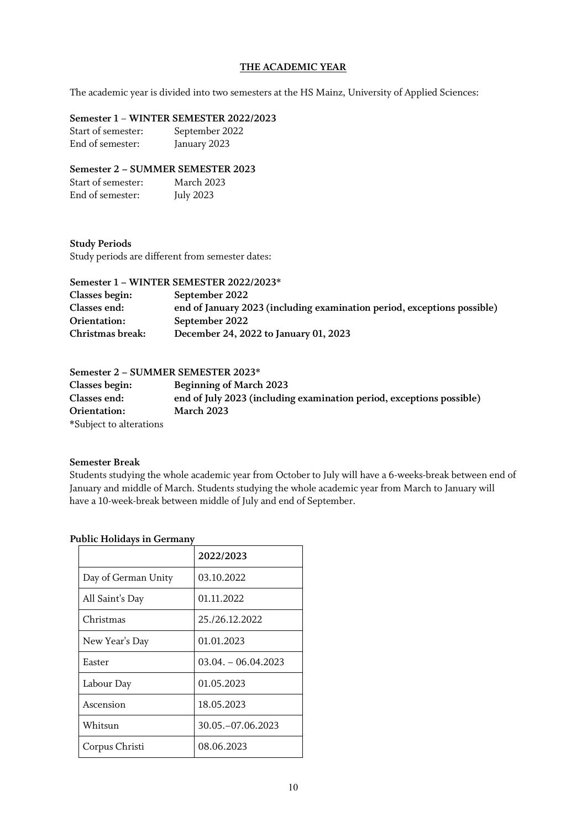### **THE ACADEMIC YEAR**

The academic year is divided into two semesters at the HS Mainz, University of Applied Sciences:

### **Semester 1** – **WINTER SEMESTER 2022/2023**

Start of semester: September 2022 End of semester: January 2023

### **Semester 2 – SUMMER SEMESTER 2023**

| Start of semester: | March 2023       |
|--------------------|------------------|
| End of semester:   | <b>July 2023</b> |

### **Study Periods**

Study periods are different from semester dates:

### **Semester 1 – WINTER SEMESTER 2022/2023\* Classes begin: September 2022 Classes end: end of January 2023 (including examination period, exceptions possible) Orientation: September 2022 Christmas break: December 24, 2022 to January 01, 2023**

### **Semester 2 – SUMMER SEMESTER 2023\***

**Classes begin: Beginning of March 2023 Classes end: end of July 2023 (including examination period, exceptions possible) Orientation: March 2023 \***Subject to alterations

### **Semester Break**

Students studying the whole academic year from October to July will have a 6-weeks-break between end of January and middle of March. Students studying the whole academic year from March to January will have a 10-week-break between middle of July and end of September.

### **Public Holidays in Germany**

|                     | 2022/2023             |
|---------------------|-----------------------|
| Day of German Unity | 03.10.2022            |
| All Saint's Day     | 01.11.2022            |
| Christmas           | 25./26.12.2022        |
| New Year's Day      | 01.01.2023            |
| Easter              | $03.04. - 06.04.2023$ |
| Labour Day          | 01.05.2023            |
| Ascension           | 18.05.2023            |
| Whitsun             | 30.05. - 07.06.2023   |
| Corpus Christi      | 08.06.2023            |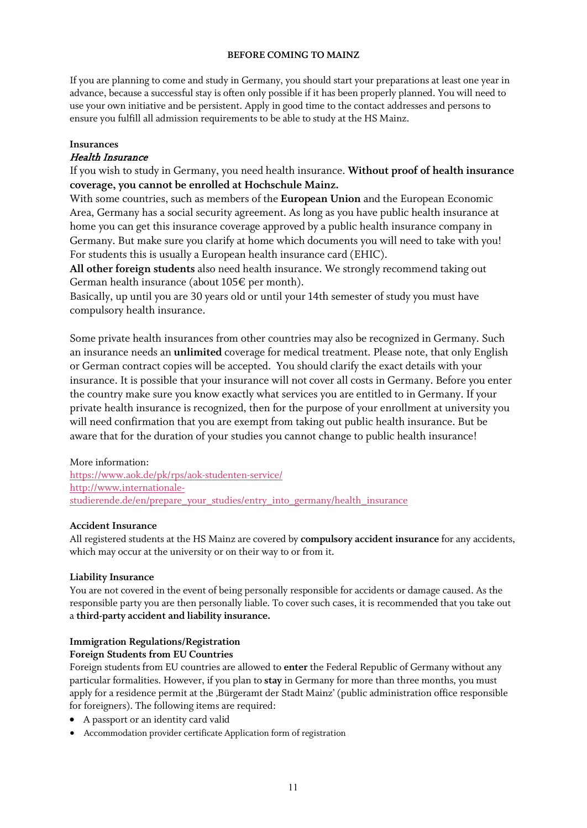### **BEFORE COMING TO MAINZ**

If you are planning to come and study in Germany, you should start your preparations at least one year in advance, because a successful stay is often only possible if it has been properly planned. You will need to use your own initiative and be persistent. Apply in good time to the contact addresses and persons to ensure you fulfill all admission requirements to be able to study at the HS Mainz.

## **Insurances**

### Health Insurance

If you wish to study in Germany, you need health insurance. **Without proof of health insurance coverage, you cannot be enrolled at Hochschule Mainz.**

With some countries, such as members of the **European Union** and the European Economic Area, Germany has a social security agreement. As long as you have public health insurance at home you can get this insurance coverage approved by a public health insurance company in Germany. But make sure you clarify at home which documents you will need to take with you! For students this is usually a European health insurance card (EHIC).

**All other foreign students** also need health insurance. We strongly recommend taking out German health insurance (about 105€ per month).

Basically, up until you are 30 years old or until your 14th semester of study you must have compulsory health insurance.

Some private health insurances from other countries may also be recognized in Germany. Such an insurance needs an **unlimited** coverage for medical treatment. Please note, that only English or German contract copies will be accepted. You should clarify the exact details with your insurance. It is possible that your insurance will not cover all costs in Germany. Before you enter the country make sure you know exactly what services you are entitled to in Germany. If your private health insurance is recognized, then for the purpose of your enrollment at university you will need confirmation that you are exempt from taking out public health insurance. But be aware that for the duration of your studies you cannot change to public health insurance!

### More information:

<https://www.aok.de/pk/rps/aok-studenten-service/> [http://www.internationale](http://www.internationale-studierende.de/en/prepare_your_studies/entry_into_germany/health_insurance)[studierende.de/en/prepare\\_your\\_studies/entry\\_into\\_germany/health\\_insurance](http://www.internationale-studierende.de/en/prepare_your_studies/entry_into_germany/health_insurance)

### **Accident Insurance**

All registered students at the HS Mainz are covered by **compulsory accident insurance** for any accidents, which may occur at the university or on their way to or from it.

### **Liability Insurance**

You are not covered in the event of being personally responsible for accidents or damage caused. As the responsible party you are then personally liable. To cover such cases, it is recommended that you take out a **third-party accident and liability insurance.**

### **Immigration Regulations/Registration**

### **Foreign Students from EU Countries**

Foreign students from EU countries are allowed to **enter** the Federal Republic of Germany without any particular formalities. However, if you plan to **stay** in Germany for more than three months, you must apply for a residence permit at the ,Bürgeramt der Stadt Mainz' (public administration office responsible for foreigners). The following items are required:

- A passport or an identity card valid
- Accommodation provider certificate Application form of registration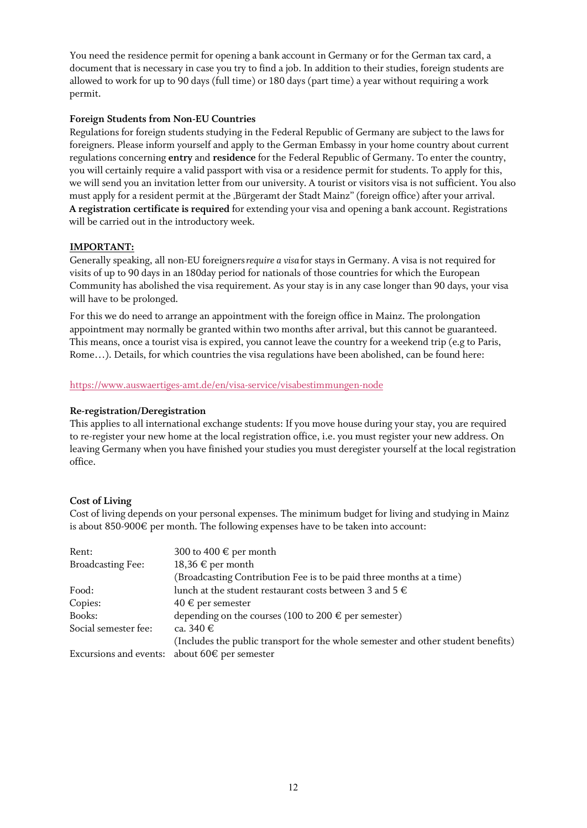You need the residence permit for opening a bank account in Germany or for the German tax card, a document that is necessary in case you try to find a job. In addition to their studies, foreign students are allowed to work for up to 90 days (full time) or 180 days (part time) a year without requiring a work permit.

### **Foreign Students from Non-EU Countries**

Regulations for foreign students studying in the Federal Republic of Germany are subject to the laws for foreigners. Please inform yourself and apply to the German Embassy in your home country about current regulations concerning **entry** and **residence** for the Federal Republic of Germany. To enter the country, you will certainly require a valid passport with visa or a residence permit for students. To apply for this, we will send you an invitation letter from our university. A tourist or visitors visa is not sufficient. You also must apply for a resident permit at the ,Bürgeramt der Stadt Mainz" (foreign office) after your arrival. **A registration certificate is required** for extending your visa and opening a bank account. Registrations will be carried out in the introductory week.

### **IMPORTANT:**

Generally speaking, all non-EU foreigners*require a visa* for stays in Germany. A visa is not required for visits of up to 90 days in an 180day period for nationals of those countries for which the European Community has abolished the visa requirement. As your stay is in any case longer than 90 days, your visa will have to be prolonged.

For this we do need to arrange an appointment with the foreign office in Mainz. The prolongation appointment may normally be granted within two months after arrival, but this cannot be guaranteed. This means, once a tourist visa is expired, you cannot leave the country for a weekend trip (e.g to Paris, Rome…). Details, for which countries the visa regulations have been abolished, can be found here:

### <https://www.auswaertiges-amt.de/en/visa-service/visabestimmungen-node>

### **Re-registration/Deregistration**

This applies to all international exchange students: If you move house during your stay, you are required to re-register your new home at the local registration office, i.e. you must register your new address. On leaving Germany when you have finished your studies you must deregister yourself at the local registration office.

### **Cost of Living**

Cost of living depends on your personal expenses. The minimum budget for living and studying in Mainz is about 850-900 $\epsilon$  per month. The following expenses have to be taken into account:

| Rent:                    | 300 to 400 $\in$ per month                                                        |
|--------------------------|-----------------------------------------------------------------------------------|
| <b>Broadcasting Fee:</b> | $18,36 \in \text{per month}$                                                      |
|                          | (Broadcasting Contribution Fee is to be paid three months at a time)              |
| Food:                    | lunch at the student restaurant costs between 3 and 5 $\in$                       |
| Copies:                  | $40 \in$ per semester                                                             |
| Books:                   | depending on the courses (100 to 200 $\in$ per semester)                          |
| Social semester fee:     | ca. 340 $\in$                                                                     |
|                          | (Includes the public transport for the whole semester and other student benefits) |
|                          | Excursions and events: about 60 $\epsilon$ per semester                           |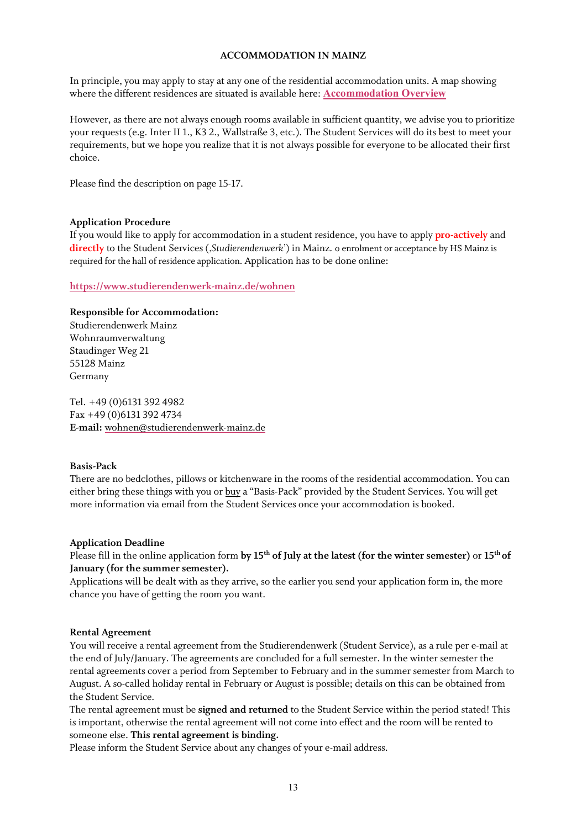### **ACCOMMODATION IN MAINZ**

In principle, you may apply to stay at any one of the residential accommodation units. A map showing where the different residences are situated is available here: **Accommodation Overview**

However, as there are not always enough rooms available in sufficient quantity, we advise you to prioritize your requests (e.g. Inter II 1., K3 2., Wallstraße 3, etc.). The Student Services will do its best to meet your requirements, but we hope you realize that it is not always possible for everyone to be allocated their first choice.

Please find the description on page 15-17.

### **Application Procedure**

If you would like to apply for accommodation in a student residence, you have to apply **pro-actively** and **directly** to the Student Services ('*Studierendenwerk*') in Mainz. o enrolment or acceptance by HS Mainz is required for the hall of residence application. Application has to be done online:

### **<https://www.studierendenwerk-mainz.de/wohnen>**

### **Responsible for Accommodation:**

Studierendenwerk Mainz Wohnraumverwaltung Staudinger Weg 21 55128 Mainz Germany

Tel. +49 (0)6131 392 4982 Fax +49 (0)6131 392 4734 **E-mail:** [wohnen@studierendenwerk-mainz.de](mailto:wohnen@studierendenwerk-mainz.de)

### **Basis-Pack**

There are no bedclothes, pillows or kitchenware in the rooms of the residential accommodation. You can either bring these things with you or buy a "Basis-Pack" provided by the Student Services. You will get more information via email from the Student Services once your accommodation is booked.

### **Application Deadline**

Please fill in the online application form **by 15th of July at the latest (for the winter semester)** or **15th of January (for the summer semester).**

Applications will be dealt with as they arrive, so the earlier you send your application form in, the more chance you have of getting the room you want.

### **Rental Agreement**

You will receive a rental agreement from the Studierendenwerk (Student Service), as a rule per e-mail at the end of July/January. The agreements are concluded for a full semester. In the winter semester the rental agreements cover a period from September to February and in the summer semester from March to August. A so-called holiday rental in February or August is possible; details on this can be obtained from the Student Service.

The rental agreement must be **signed and returned** to the Student Service within the period stated! This is important, otherwise the rental agreement will not come into effect and the room will be rented to someone else. **This rental agreement is binding.**

Please inform the Student Service about any changes of your e-mail address.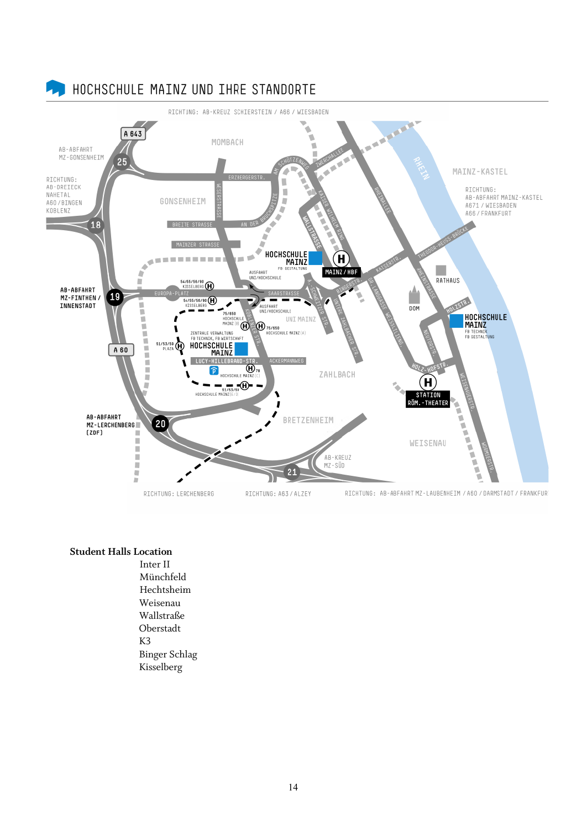

### **Student Halls Location**

Inter II Münchfeld Hechtsheim Weisenau Wallstraße Oberstadt K3 Binger Schlag Kisselberg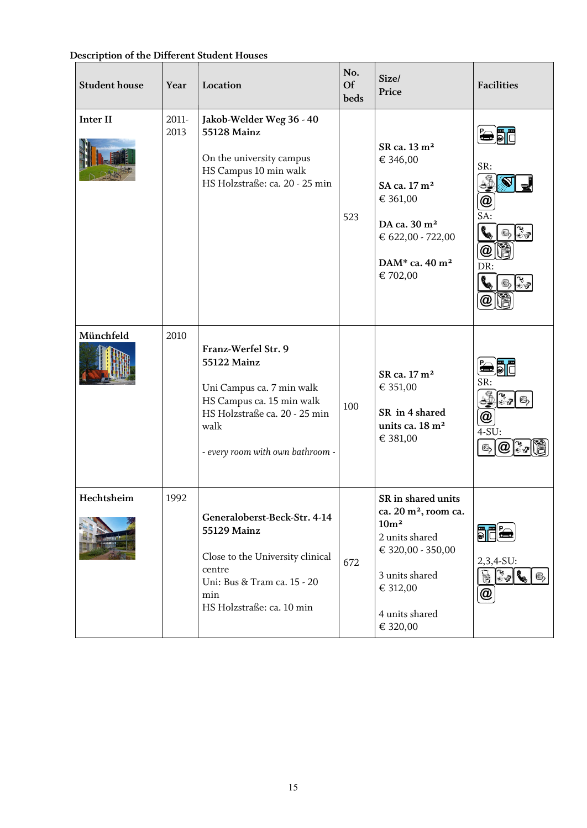| Description of the Different Student Houses |  |  |  |  |
|---------------------------------------------|--|--|--|--|
|---------------------------------------------|--|--|--|--|

| <b>Student house</b> | Year             | Location                                                                                                                                                                         | No.<br>Of<br>beds | Size/<br>Price                                                                                                                                                                | <b>Facilities</b>                                                                                                                                                                                                                                                                                                                                                                                                                 |
|----------------------|------------------|----------------------------------------------------------------------------------------------------------------------------------------------------------------------------------|-------------------|-------------------------------------------------------------------------------------------------------------------------------------------------------------------------------|-----------------------------------------------------------------------------------------------------------------------------------------------------------------------------------------------------------------------------------------------------------------------------------------------------------------------------------------------------------------------------------------------------------------------------------|
| <b>Inter II</b>      | $2011 -$<br>2013 | Jakob-Welder Weg 36 - 40<br><b>55128 Mainz</b><br>On the university campus<br>HS Campus 10 min walk<br>HS Holzstraße: ca. 20 - 25 min                                            | 523               | SR ca. 13 m <sup>2</sup><br>€ 346,00<br>SA ca. 17 m <sup>2</sup><br>€ 361,00<br>DA ca. 30 m <sup>2</sup><br>€ 622,00 - 722,00<br>DAM* ca. 40 m <sup>2</sup><br>€ 702,00       | SR:<br>$\bm{a}$<br>SA:<br>$\begin{picture}(220,20) \put(0,0){\line(1,0){15}} \put(15,0){\line(1,0){15}} \put(15,0){\line(1,0){15}} \put(15,0){\line(1,0){15}} \put(15,0){\line(1,0){15}} \put(15,0){\line(1,0){15}} \put(15,0){\line(1,0){15}} \put(15,0){\line(1,0){15}} \put(15,0){\line(1,0){15}} \put(15,0){\line(1,0){15}} \put(15,0){\line(1,0){15}} \put(15,0){\line($<br>$\mathbf{G}$<br>$\, a \,$<br>DR:<br>$\mathbf{r}$ |
| Münchfeld            | 2010             | Franz-Werfel Str. 9<br><b>55122 Mainz</b><br>Uni Campus ca. 7 min walk<br>HS Campus ca. 15 min walk<br>HS Holzstraße ca. 20 - 25 min<br>walk<br>- every room with own bathroom - | 100               | SR ca. 17 m <sup>2</sup><br>€ 351,00<br>SR in 4 shared<br>units ca. 18 m <sup>2</sup><br>€ 381,00                                                                             | SR:<br>$\frac{1}{2}$<br>$\odot$<br>$^{\textregistered}$<br>$4-SU:$<br>@<br>$\mathbb{G}_{2}$                                                                                                                                                                                                                                                                                                                                       |
| Hechtsheim           | 1992             | Generaloberst-Beck-Str. 4-14<br><b>55129 Mainz</b><br>Close to the University clinical<br>centre<br>Uni: Bus & Tram ca. 15 - 20<br>$\min$<br>HS Holzstraße: ca. 10 min           | 672               | SR in shared units<br>ca. 20 m <sup>2</sup> , room ca.<br>10 <sup>m²</sup><br>2 units shared<br>€ 320,00 - 350,00<br>3 units shared<br>€ 312,00<br>4 units shared<br>€ 320,00 | <b>JEL</b><br>2,3,4-SU:<br>$\frac{1}{2}$<br>I<br>$\mathbf{G}_2$<br>@                                                                                                                                                                                                                                                                                                                                                              |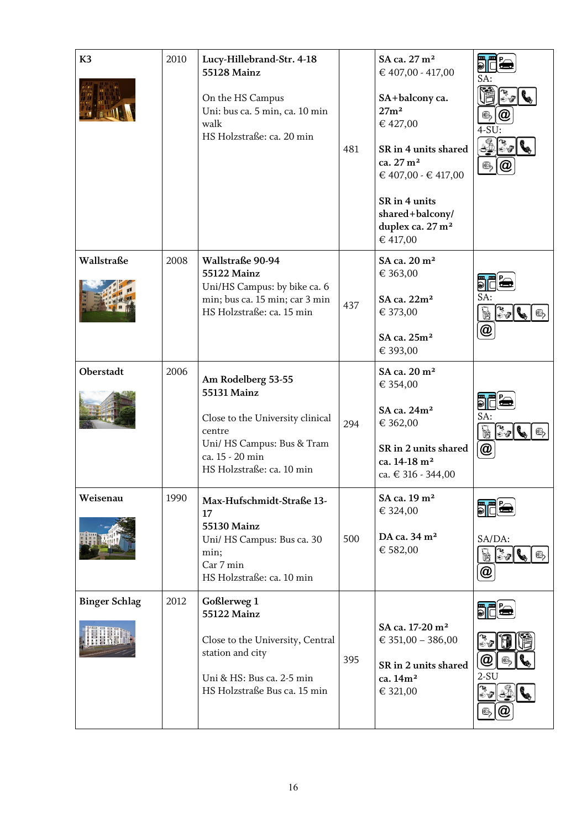| K <sub>3</sub>       | 2010 | Lucy-Hillebrand-Str. 4-18<br>55128 Mainz<br>On the HS Campus<br>Uni: bus ca. 5 min, ca. 10 min<br>walk<br>HS Holzstraße: ca. 20 min                                  | 481 | SA ca. 27 m <sup>2</sup><br>€ 407,00 - 417,00<br>SA+balcony ca.<br>27m <sup>2</sup><br>€ 427,00<br>SR in 4 units shared<br>ca. 27 m <sup>2</sup><br>€ 407,00 - € 417,00<br>SR in 4 units<br>shared+balcony/<br>duplex ca. 27 m <sup>2</sup><br>€ 417,00 | <b>E E</b><br>SA:<br>C<br>$4-SU:$<br>国                                                                                                 |
|----------------------|------|----------------------------------------------------------------------------------------------------------------------------------------------------------------------|-----|---------------------------------------------------------------------------------------------------------------------------------------------------------------------------------------------------------------------------------------------------------|----------------------------------------------------------------------------------------------------------------------------------------|
| Wallstraße           | 2008 | Wallstraße 90-94<br>55122 Mainz<br>Uni/HS Campus: by bike ca. 6<br>min; bus ca. 15 min; car 3 min<br>HS Holzstraße: ca. 15 min                                       | 437 | SA ca. 20 m <sup>2</sup><br>€ 363,00<br>SA ca. 22m <sup>2</sup><br>€ 373,00<br>SA ca. 25m <sup>2</sup><br>€ 393,00                                                                                                                                      | SA:<br>$\begin{bmatrix} \mathbf{r}^* \\ \mathbf{r}^* \\ \mathbf{r}^* \end{bmatrix}$<br>52<br>$\mathbb{C}$<br>$^\text{\textregistered}$ |
| Oberstadt            | 2006 | Am Rodelberg 53-55<br><b>55131 Mainz</b><br>Close to the University clinical<br>centre<br>Uni/ HS Campus: Bus & Tram<br>ca. 15 - 20 min<br>HS Holzstraße: ca. 10 min | 294 | SA ca. 20 m <sup>2</sup><br>€ 354,00<br>SA ca. 24m <sup>2</sup><br>€ 362,00<br>SR in 2 units shared<br>ca. 14-18 m <sup>2</sup><br>ca. € 316 - 344,00                                                                                                   | SA:<br>$\frac{1}{2}$<br>B<br>@                                                                                                         |
| Weisenau             | 1990 | Max-Hufschmidt-Straße 13-<br>17<br><b>55130 Mainz</b><br>Uni/ HS Campus: Bus ca. 30<br>min;<br>Car 7 min<br>HS Holzstraße: ca. 10 min                                | 500 | SA ca. 19 m <sup>2</sup><br>€ 324,00<br>DA ca. 34 m <sup>2</sup><br>€ 582,00                                                                                                                                                                            | SA/DA:<br>$\begin{bmatrix} k \\ k \end{bmatrix}$<br>T.<br>$\epsilon$<br>$\mathbf{G}_b$<br>@                                            |
| <b>Binger Schlag</b> | 2012 | Goßlerweg 1<br><b>55122 Mainz</b><br>Close to the University, Central<br>station and city<br>Uni & HS: Bus ca. 2-5 min<br>HS Holzstraße Bus ca. 15 min               | 395 | SA ca. 17-20 m <sup>2</sup><br>€ 351,00 - 386,00<br>SR in 2 units shared<br>ca. 14m <sup>2</sup><br>€ 321,00                                                                                                                                            | <b>EF</b><br>$\bm{a}$<br>$2-SU$<br>$\circledcirc$                                                                                      |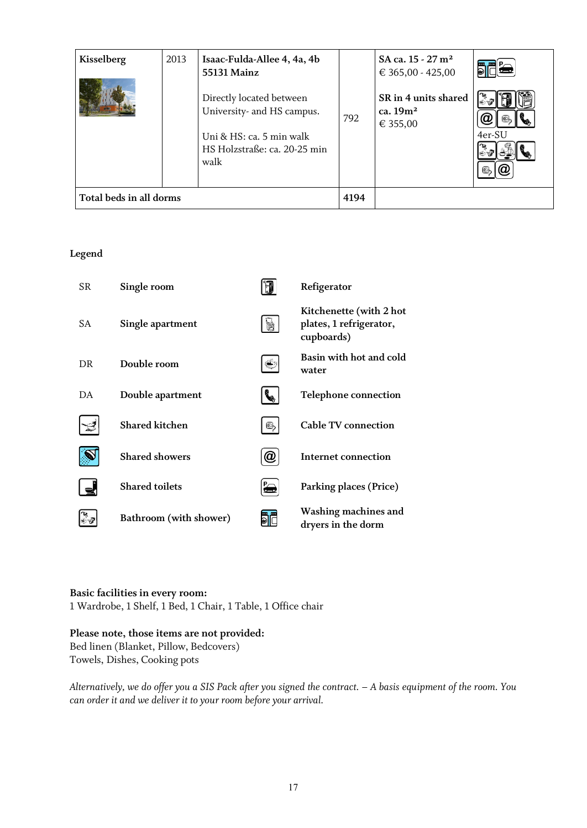| Kisselberg              | 2013 | Isaac-Fulda-Allee 4, 4a, 4b<br>55131 Mainz                                                                                 |      | SA ca. $15 - 27$ m <sup>2</sup><br>€ 365,00 - 425,00 |        |
|-------------------------|------|----------------------------------------------------------------------------------------------------------------------------|------|------------------------------------------------------|--------|
|                         |      | Directly located between<br>University- and HS campus.<br>Uni & HS: ca. 5 min walk<br>HS Holzstraße: ca. 20-25 min<br>walk | 792  | SR in 4 units shared<br>ca. $19m2$<br>€ 355,00       | 4er-SU |
| Total beds in all dorms |      |                                                                                                                            | 4194 |                                                      |        |

## **Legend**

| <b>SR</b> | Single room            |                  | Refigerator                                                      |
|-----------|------------------------|------------------|------------------------------------------------------------------|
| <b>SA</b> | Single apartment       |                  | Kitchenette (with 2 hot<br>plates, 1 refrigerator,<br>cupboards) |
| DR        | Double room            |                  | Basin with hot and cold<br>water                                 |
| DA        | Double apartment       |                  | <b>Telephone connection</b>                                      |
|           | <b>Shared kitchen</b>  | Ch               | <b>Cable TV connection</b>                                       |
|           | <b>Shared showers</b>  | $\boldsymbol{a}$ | Internet connection                                              |
|           | <b>Shared toilets</b>  |                  | Parking places (Price)                                           |
|           | Bathroom (with shower) |                  | Washing machines and<br>dryers in the dorm                       |

### **Basic facilities in every room:**

1 Wardrobe, 1 Shelf, 1 Bed, 1 Chair, 1 Table, 1 Office chair

### **Please note, those items are not provided:**

Bed linen (Blanket, Pillow, Bedcovers) Towels, Dishes, Cooking pots

*Alternatively, we do offer you a SIS Pack after you signed the contract. – A basis equipment of the room. You can order it and we deliver it to your room before your arrival.*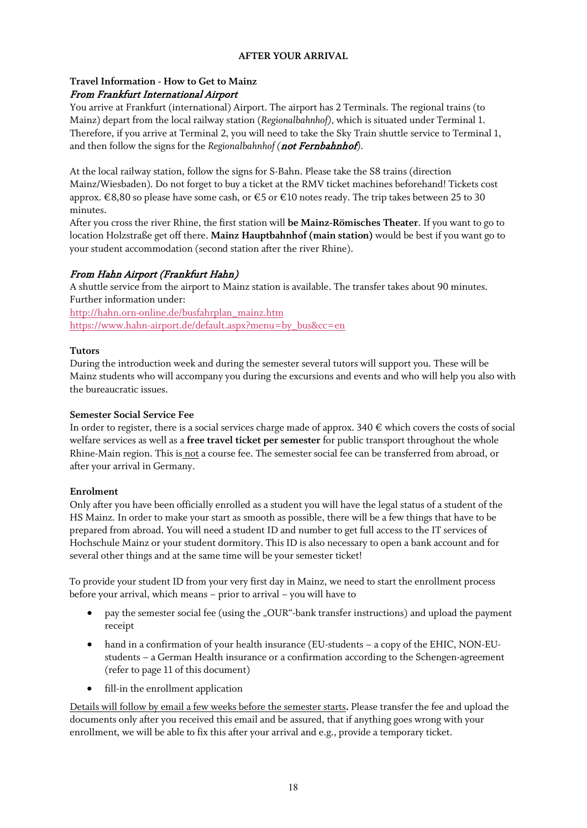### **AFTER YOUR ARRIVAL**

### **Travel Information - How to Get to Mainz** From Frankfurt International Airport

You arrive at Frankfurt (international) Airport. The airport has 2 Terminals. The regional trains (to Mainz) depart from the local railway station (*Regionalbahnhof),* which is situated under Terminal 1. Therefore, if you arrive at Terminal 2, you will need to take the Sky Train shuttle service to Terminal 1, and then follow the signs for the *Regionalbahnhof* (*not Fernbahnhof*).

At the local railway station, follow the signs for S-Bahn. Please take the S8 trains (direction Mainz/Wiesbaden). Do not forget to buy a ticket at the RMV ticket machines beforehand! Tickets cost approx. €8,80 so please have some cash, or €5 or €10 notes ready. The trip takes between 25 to 30 minutes.

After you cross the river Rhine, the first station will **be Mainz-Römisches Theater**. If you want to go to location Holzstraße get off there. **Mainz Hauptbahnhof (main station)** would be best if you want go to your student accommodation (second station after the river Rhine).

### From Hahn Airport (Frankfurt Hahn)

A shuttle service from the airport to Mainz station is available. The transfer takes about 90 minutes. Further information under:

[http://hahn.orn-online.de/busfahrplan\\_mainz.htm](http://hahn.orn-online.de/busfahrplan_mainz.htm) [https://www.hahn-airport.de/default.aspx?menu=by\\_bus&cc=en](https://www.hahn-airport.de/default.aspx?menu=by_bus&cc=en)

### **Tutors**

During the introduction week and during the semester several tutors will support you. These will be Mainz students who will accompany you during the excursions and events and who will help you also with the bureaucratic issues.

### **Semester Social Service Fee**

In order to register, there is a social services charge made of approx.  $340 \in \text{which covers the costs of social}$ welfare services as well as a **free travel ticket per semester** for public transport throughout the whole Rhine-Main region. This is not a course fee. The semester social fee can be transferred from abroad, or after your arrival in Germany.

### **Enrolment**

Only after you have been officially enrolled as a student you will have the legal status of a student of the HS Mainz. In order to make your start as smooth as possible, there will be a few things that have to be prepared from abroad. You will need a student ID and number to get full access to the IT services of Hochschule Mainz or your student dormitory. This ID is also necessary to open a bank account and for several other things and at the same time will be your semester ticket!

To provide your student ID from your very first day in Mainz, we need to start the enrollment process before your arrival, which means – prior to arrival – you will have to

- pay the semester social fee (using the "OUR"-bank transfer instructions) and upload the payment receipt
- hand in a confirmation of your health insurance (EU-students a copy of the EHIC, NON-EUstudents – a German Health insurance or a confirmation according to the Schengen-agreement (refer to page 11 of this document)
- fill-in the enrollment application

Details will follow by email a few weeks before the semester starts**.** Please transfer the fee and upload the documents only after you received this email and be assured, that if anything goes wrong with your enrollment, we will be able to fix this after your arrival and e.g., provide a temporary ticket.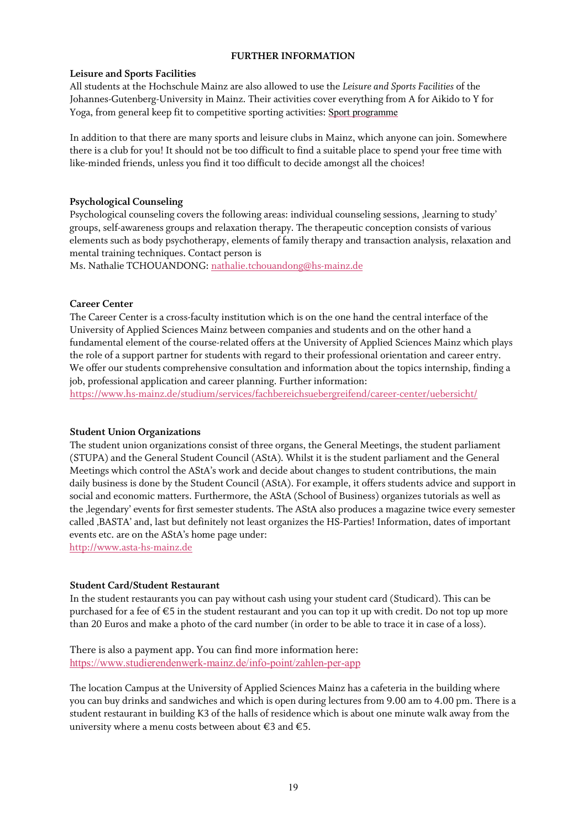### **FURTHER INFORMATION**

### **Leisure and Sports Facilities**

All students at the Hochschule Mainz are also allowed to use the *Leisure and Sports Facilities* of the Johannes-Gutenberg-University in Mainz. Their activities cover everything from A for Aikido to Y for Yoga, from general keep fit to competitive sporting activities: Sport [programme](https://www.ahs.uni-mainz.de/sportprogramm/sportarten-a-z/)

In addition to that there are many sports and leisure clubs in Mainz, which anyone can join. Somewhere there is a club for you! It should not be too difficult to find a suitable place to spend your free time with like-minded friends, unless you find it too difficult to decide amongst all the choices!

### **Psychological Counseling**

Psychological counseling covers the following areas: individual counseling sessions, 'learning to study' groups, self-awareness groups and relaxation therapy. The therapeutic conception consists of various elements such as body psychotherapy, elements of family therapy and transaction analysis, relaxation and mental training techniques. Contact person is

Ms. Nathalie TCHOUANDONG: [nathalie.tchouandong@hs-mainz.de](mailto:nathalie.tchouandong@hs-mainz.de)

### **Career Center**

The Career Center is a cross-faculty institution which is on the one hand the central interface of the University of Applied Sciences Mainz between companies and students and on the other hand a fundamental element of the course-related offers at the University of Applied Sciences Mainz which plays the role of a support partner for students with regard to their professional orientation and career entry. We offer our students comprehensive consultation and information about the topics internship, finding a job, professional application and career planning. Further information:

<https://www.hs-mainz.de/studium/services/fachbereichsuebergreifend/career-center/uebersicht/>

### **Student Union Organizations**

The student union organizations consist of three organs, the General Meetings, the student parliament (STUPA) and the General Student Council (AStA). Whilst it is the student parliament and the General Meetings which control the AStA's work and decide about changes to student contributions, the main daily business is done by the Student Council (AStA). For example, it offers students advice and support in social and economic matters. Furthermore, the AStA (School of Business) organizes tutorials as well as the , legendary' events for first semester students. The AStA also produces a magazine twice every semester called 'BASTA' and, last but definitely not least organizes the HS-Parties! Information, dates of important events etc. are on the AStA's home page under:

[http://www.asta-hs-mainz.de](http://www.asta-fh-mainz.de/)

### **Student Card/Student Restaurant**

In the student restaurants you can pay without cash using your student card (Studicard). This can be purchased for a fee of €5 in the student restaurant and you can top it up with credit. Do not top up more than 20 Euros and make a photo of the card number (in order to be able to trace it in case of a loss).

There is also a payment app. You can find more information here: <https://www.studierendenwerk-mainz.de/info-point/zahlen-per-app>

The location Campus at the University of Applied Sciences Mainz has a cafeteria in the building where you can buy drinks and sandwiches and which is open during lectures from 9.00 am to 4.00 pm. There is a student restaurant in building K3 of the halls of residence which is about one minute walk away from the university where a menu costs between about  $\epsilon$ 3 and  $\epsilon$ 5.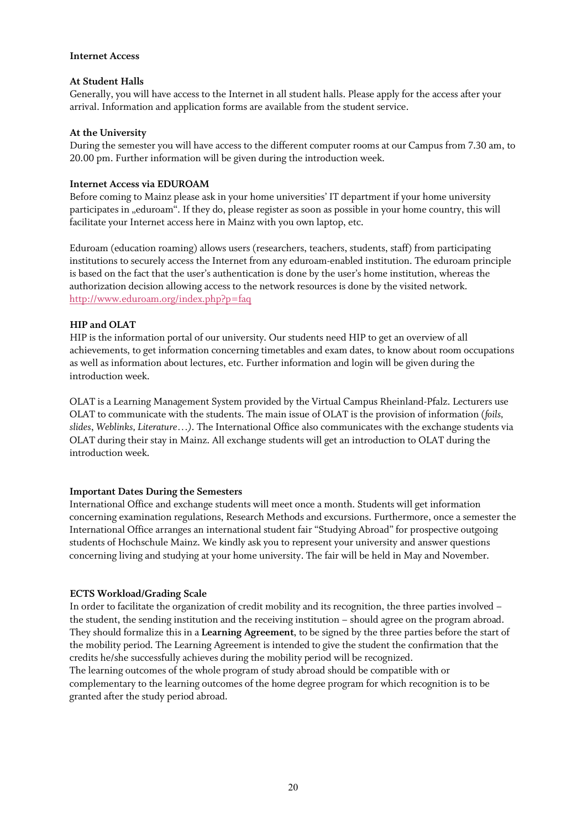### **Internet Access**

### **At Student Halls**

Generally, you will have access to the Internet in all student halls. Please apply for the access after your arrival. Information and application forms are available from the student service.

### **At the University**

During the semester you will have access to the different computer rooms at our Campus from 7.30 am, to 20.00 pm. Further information will be given during the introduction week.

### **Internet Access via EDUROAM**

Before coming to Mainz please ask in your home universities' IT department if your home university participates in "eduroam". If they do, please register as soon as possible in your home country, this will facilitate your Internet access here in Mainz with you own laptop, etc.

Eduroam (education roaming) allows users (researchers, teachers, students, staff) from participating institutions to securely access the Internet from any eduroam-enabled institution. The eduroam principle is based on the fact that the user's authentication is done by the user's home institution, whereas the authorization decision allowing access to the network resources is done by the visited network. <http://www.eduroam.org/index.php?p=faq>

### **HIP and OLAT**

HIP is the information portal of our university. Our students need HIP to get an overview of all achievements, to get information concerning timetables and exam dates, to know about room occupations as well as information about lectures, etc. Further information and login will be given during the introduction week.

OLAT is a Learning Management System provided by the Virtual Campus Rheinland-Pfalz. Lecturers use OLAT to communicate with the students. The main issue of OLAT is the provision of information (*foils, slides*, *Weblinks, Literature…)*. The International Office also communicates with the exchange students via OLAT during their stay in Mainz. All exchange students will get an introduction to OLAT during the introduction week.

### **Important Dates During the Semesters**

International Office and exchange students will meet once a month. Students will get information concerning examination regulations, Research Methods and excursions. Furthermore, once a semester the International Office arranges an international student fair "Studying Abroad" for prospective outgoing students of Hochschule Mainz. We kindly ask you to represent your university and answer questions concerning living and studying at your home university. The fair will be held in May and November.

### **ECTS Workload/Grading Scale**

In order to facilitate the organization of credit mobility and its recognition, the three parties involved – the student, the sending institution and the receiving institution – should agree on the program abroad. They should formalize this in a **Learning Agreement**, to be signed by the three parties before the start of the mobility period. The Learning Agreement is intended to give the student the confirmation that the credits he/she successfully achieves during the mobility period will be recognized. The learning outcomes of the whole program of study abroad should be compatible with or

complementary to the learning outcomes of the home degree program for which recognition is to be granted after the study period abroad.